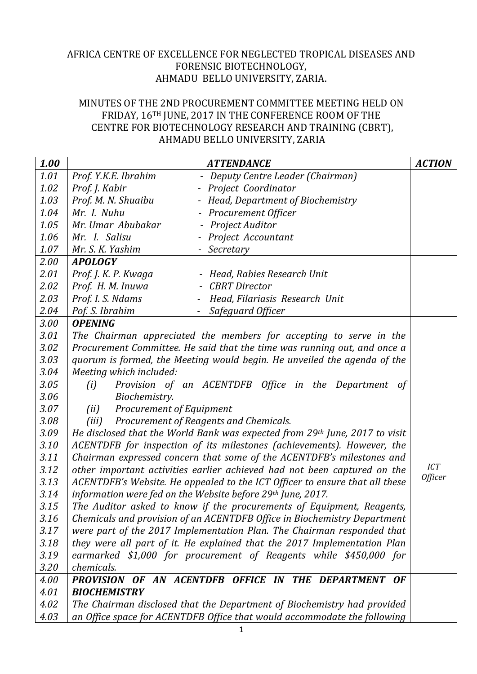## AFRICA CENTRE OF EXCELLENCE FOR NEGLECTED TROPICAL DISEASES AND FORENSIC BIOTECHNOLOGY, AHMADU BELLO UNIVERSITY, ZARIA.

## MINUTES OF THE 2ND PROCUREMENT COMMITTEE MEETING HELD ON FRIDAY, 16TH JUNE, 2017 IN THE CONFERENCE ROOM OF THE CENTRE FOR BIOTECHNOLOGY RESEARCH AND TRAINING (CBRT), AHMADU BELLO UNIVERSITY, ZARIA

| 1.00 | <b>ATTENDANCE</b>                                                           | <b>ACTION</b>  |
|------|-----------------------------------------------------------------------------|----------------|
| 1.01 | Prof. Y.K.E. Ibrahim<br>- Deputy Centre Leader (Chairman)                   |                |
| 1.02 | Prof. J. Kabir<br>- Project Coordinator                                     |                |
| 1.03 | Prof. M. N. Shuaibu<br>- Head, Department of Biochemistry                   |                |
| 1.04 | Mr. I. Nuhu<br>- Procurement Officer                                        |                |
| 1.05 | Project Auditor<br>Mr. Umar Abubakar                                        |                |
| 1.06 | Mr. I. Salisu<br>- Project Accountant                                       |                |
| 1.07 | Mr. S. K. Yashim<br>- Secretary                                             |                |
| 2.00 | <b>APOLOGY</b>                                                              |                |
| 2.01 | Prof. J. K. P. Kwaga<br>- Head, Rabies Research Unit                        |                |
| 2.02 | Prof. H. M. Inuwa<br><b>CBRT</b> Director                                   |                |
| 2.03 | Prof. I. S. Ndams<br>Head, Filariasis Research Unit                         |                |
| 2.04 | Pof. S. Ibrahim<br>Safeguard Officer                                        |                |
| 3.00 | <b>OPENING</b>                                                              |                |
| 3.01 | The Chairman appreciated the members for accepting to serve in the          |                |
| 3.02 | Procurement Committee. He said that the time was running out, and once a    |                |
| 3.03 | quorum is formed, the Meeting would begin. He unveiled the agenda of the    |                |
| 3.04 | Meeting which included:                                                     |                |
| 3.05 | Provision of an ACENTDFB Office in the Department of<br>(i)                 |                |
| 3.06 | Biochemistry.                                                               |                |
| 3.07 | Procurement of Equipment<br>(ii)                                            |                |
| 3.08 | (iii)<br>Procurement of Reagents and Chemicals.                             |                |
| 3.09 | He disclosed that the World Bank was expected from 29th June, 2017 to visit |                |
| 3.10 | ACENTDFB for inspection of its milestones (achievements). However, the      |                |
| 3.11 | Chairman expressed concern that some of the ACENTDFB's milestones and       |                |
| 3.12 | other important activities earlier achieved had not been captured on the    | <b>ICT</b>     |
| 3.13 | ACENTDFB's Website. He appealed to the ICT Officer to ensure that all these | <b>Officer</b> |
| 3.14 | information were fed on the Website before 29th June, 2017.                 |                |
| 3.15 | The Auditor asked to know if the procurements of Equipment, Reagents,       |                |
| 3.16 | Chemicals and provision of an ACENTDFB Office in Biochemistry Department    |                |
| 3.17 | were part of the 2017 Implementation Plan. The Chairman responded that      |                |
| 3.18 | they were all part of it. He explained that the 2017 Implementation Plan    |                |
| 3.19 | earmarked \$1,000 for procurement of Reagents while \$450,000 for           |                |
| 3.20 | chemicals.                                                                  |                |
| 4.00 | PROVISION OF AN ACENTDFB OFFICE IN THE DEPARTMENT OF                        |                |
| 4.01 | <b>BIOCHEMISTRY</b>                                                         |                |
| 4.02 | The Chairman disclosed that the Department of Biochemistry had provided     |                |
| 4.03 | an Office space for ACENTDFB Office that would accommodate the following    |                |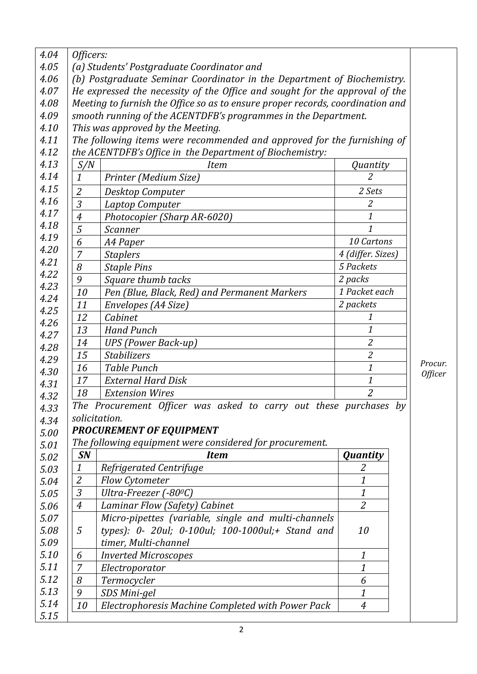| 4.04         | Officers:                                                                      |                                                                         |                   |                       |  |  |  |
|--------------|--------------------------------------------------------------------------------|-------------------------------------------------------------------------|-------------------|-----------------------|--|--|--|
| 4.05         | (a) Students' Postgraduate Coordinator and                                     |                                                                         |                   |                       |  |  |  |
| 4.06         | (b) Postgraduate Seminar Coordinator in the Department of Biochemistry.        |                                                                         |                   |                       |  |  |  |
| 4.07         | He expressed the necessity of the Office and sought for the approval of the    |                                                                         |                   |                       |  |  |  |
| 4.08         | Meeting to furnish the Office so as to ensure proper records, coordination and |                                                                         |                   |                       |  |  |  |
| 4.09         | smooth running of the ACENTDFB's programmes in the Department.                 |                                                                         |                   |                       |  |  |  |
| 4.10         |                                                                                | This was approved by the Meeting.                                       |                   |                       |  |  |  |
| 4.11         |                                                                                | The following items were recommended and approved for the furnishing of |                   |                       |  |  |  |
| 4.12         |                                                                                | the ACENTDFB's Office in the Department of Biochemistry:                |                   |                       |  |  |  |
| 4.13         | S/N                                                                            | <b>Item</b>                                                             | Quantity          |                       |  |  |  |
| 4.14         | $\mathbf{1}$                                                                   | Printer (Medium Size)                                                   | $\mathcal{Z}$     |                       |  |  |  |
| 4.15         | $\overline{2}$                                                                 | Desktop Computer                                                        | 2 Sets            |                       |  |  |  |
| 4.16         | $\overline{3}$                                                                 | Laptop Computer                                                         | $\overline{2}$    |                       |  |  |  |
| 4.17         | $\overline{4}$                                                                 | Photocopier (Sharp AR-6020)                                             | 1                 |                       |  |  |  |
| 4.18         | 5                                                                              | <b>Scanner</b>                                                          | $\mathbf{1}$      |                       |  |  |  |
| 4.19         | 6                                                                              | A4 Paper                                                                | 10 Cartons        |                       |  |  |  |
| 4.20         | $\overline{7}$                                                                 | <b>Staplers</b>                                                         | 4 (differ. Sizes) |                       |  |  |  |
| 4.21         | 8                                                                              | <b>Staple Pins</b>                                                      | 5 Packets         |                       |  |  |  |
| 4.22         | 9                                                                              | Square thumb tacks                                                      | 2 packs           |                       |  |  |  |
| 4.23         | 10                                                                             | Pen (Blue, Black, Red) and Permanent Markers                            | 1 Packet each     |                       |  |  |  |
| 4.24         | 11                                                                             | Envelopes (A4 Size)                                                     | 2 packets         |                       |  |  |  |
| 4.25         | 12                                                                             | Cabinet                                                                 | 1                 |                       |  |  |  |
| 4.26         | 13                                                                             | <b>Hand Punch</b>                                                       | 1                 |                       |  |  |  |
| 4.27<br>4.28 | 14                                                                             | <b>UPS</b> (Power Back-up)                                              | $\overline{2}$    |                       |  |  |  |
| 4.29         | 15                                                                             | <b>Stabilizers</b>                                                      | $\mathfrak{2}$    |                       |  |  |  |
|              | 16                                                                             | <b>Table Punch</b>                                                      | 1                 | Procur.               |  |  |  |
|              | 17                                                                             | <b>External Hard Disk</b>                                               | 1                 | <i><b>Officer</b></i> |  |  |  |
|              | 18                                                                             | <b>Extension Wires</b>                                                  | $\overline{2}$    |                       |  |  |  |
| 4.32         |                                                                                | The Procurement Officer was asked to carry out these purchases by       |                   |                       |  |  |  |
| 4.33<br>4.34 |                                                                                | solicitation.                                                           |                   |                       |  |  |  |
| 5.00         |                                                                                | <b>PROCUREMENT OF EQUIPMENT</b>                                         |                   |                       |  |  |  |
| 5.01         |                                                                                | The following equipment were considered for procurement.                |                   |                       |  |  |  |
| 5.02         | <b>SN</b>                                                                      | <b>Item</b>                                                             | <b>Quantity</b>   |                       |  |  |  |
| 5.03         | $\boldsymbol{1}$                                                               | Refrigerated Centrifuge                                                 | 2                 |                       |  |  |  |
| 5.04         | $\overline{2}$                                                                 | <b>Flow Cytometer</b>                                                   | 1                 |                       |  |  |  |
| 5.05         | 3                                                                              | Ultra-Freezer (-80 <sup>o</sup> C)                                      | 1                 |                       |  |  |  |
| 5.06         | $\overline{4}$                                                                 | Laminar Flow (Safety) Cabinet                                           | $\overline{2}$    |                       |  |  |  |
| 5.07         |                                                                                | Micro-pipettes (variable, single and multi-channels                     |                   |                       |  |  |  |
| 5.08         | 5                                                                              | types): 0- 20ul; 0-100ul; 100-1000ul;+ Stand and                        | 10                |                       |  |  |  |
| 5.09         |                                                                                | timer, Multi-channel                                                    |                   |                       |  |  |  |
| 5.10         | 6                                                                              | <b>Inverted Microscopes</b>                                             | 1                 |                       |  |  |  |
| 5.11         | $\overline{7}$                                                                 | Electroporator                                                          | 1                 |                       |  |  |  |
| 5.12         | 8                                                                              | Termocycler                                                             | 6                 |                       |  |  |  |
| 5.13         | 9                                                                              | SDS Mini-gel                                                            | 1                 |                       |  |  |  |
| 5.14         | 10                                                                             | Electrophoresis Machine Completed with Power Pack                       | $\boldsymbol{4}$  |                       |  |  |  |
| 5.15         |                                                                                |                                                                         |                   |                       |  |  |  |